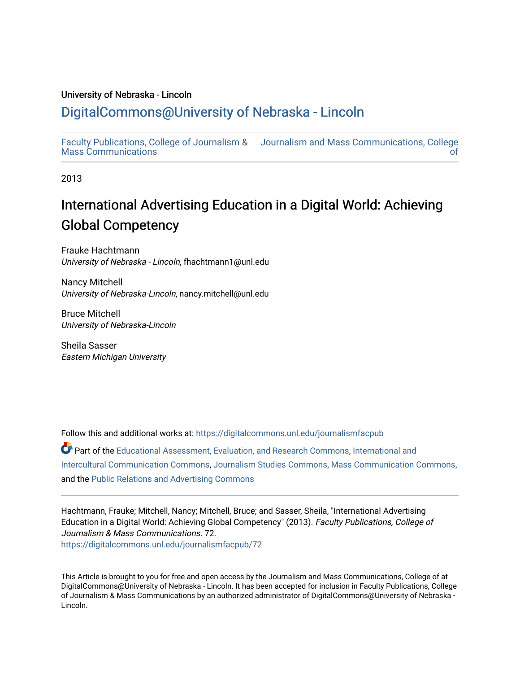### University of Nebraska - Lincoln

## [DigitalCommons@University of Nebraska - Lincoln](https://digitalcommons.unl.edu/)

[Faculty Publications, College of Journalism &](https://digitalcommons.unl.edu/journalismfacpub)  [Mass Communications](https://digitalcommons.unl.edu/journalismfacpub) [Journalism and Mass Communications, College](https://digitalcommons.unl.edu/journalism)  [of](https://digitalcommons.unl.edu/journalism) 

2013

# International Advertising Education in a Digital World: Achieving Global Competency

Frauke Hachtmann University of Nebraska - Lincoln, fhachtmann1@unl.edu

Nancy Mitchell University of Nebraska-Lincoln, nancy.mitchell@unl.edu

Bruce Mitchell University of Nebraska-Lincoln

Sheila Sasser Eastern Michigan University

Follow this and additional works at: [https://digitalcommons.unl.edu/journalismfacpub](https://digitalcommons.unl.edu/journalismfacpub?utm_source=digitalcommons.unl.edu%2Fjournalismfacpub%2F72&utm_medium=PDF&utm_campaign=PDFCoverPages)

Part of the [Educational Assessment, Evaluation, and Research Commons](http://network.bepress.com/hgg/discipline/796?utm_source=digitalcommons.unl.edu%2Fjournalismfacpub%2F72&utm_medium=PDF&utm_campaign=PDFCoverPages), International and [Intercultural Communication Commons,](http://network.bepress.com/hgg/discipline/331?utm_source=digitalcommons.unl.edu%2Fjournalismfacpub%2F72&utm_medium=PDF&utm_campaign=PDFCoverPages) [Journalism Studies Commons,](http://network.bepress.com/hgg/discipline/333?utm_source=digitalcommons.unl.edu%2Fjournalismfacpub%2F72&utm_medium=PDF&utm_campaign=PDFCoverPages) [Mass Communication Commons](http://network.bepress.com/hgg/discipline/334?utm_source=digitalcommons.unl.edu%2Fjournalismfacpub%2F72&utm_medium=PDF&utm_campaign=PDFCoverPages), and the [Public Relations and Advertising Commons](http://network.bepress.com/hgg/discipline/336?utm_source=digitalcommons.unl.edu%2Fjournalismfacpub%2F72&utm_medium=PDF&utm_campaign=PDFCoverPages)

Hachtmann, Frauke; Mitchell, Nancy; Mitchell, Bruce; and Sasser, Sheila, "International Advertising Education in a Digital World: Achieving Global Competency" (2013). Faculty Publications, College of Journalism & Mass Communications. 72. [https://digitalcommons.unl.edu/journalismfacpub/72](https://digitalcommons.unl.edu/journalismfacpub/72?utm_source=digitalcommons.unl.edu%2Fjournalismfacpub%2F72&utm_medium=PDF&utm_campaign=PDFCoverPages) 

This Article is brought to you for free and open access by the Journalism and Mass Communications, College of at DigitalCommons@University of Nebraska - Lincoln. It has been accepted for inclusion in Faculty Publications, College of Journalism & Mass Communications by an authorized administrator of DigitalCommons@University of Nebraska - Lincoln.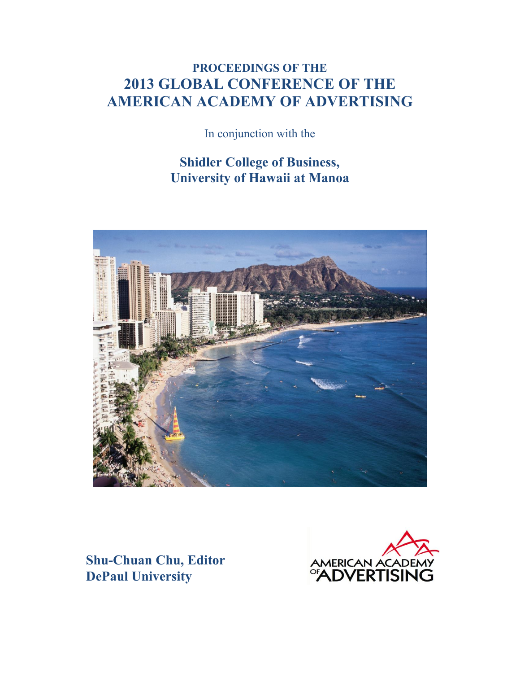# **PROCEEDINGS OF THE 2013 GLOBAL CONFERENCE OF THE AMERICAN ACADEMY OF ADVERTISING**

In conjunction with the

## **Shidler College of Business, University of Hawaii at Manoa**



**Shu-Chuan Chu, Editor DePaul University**

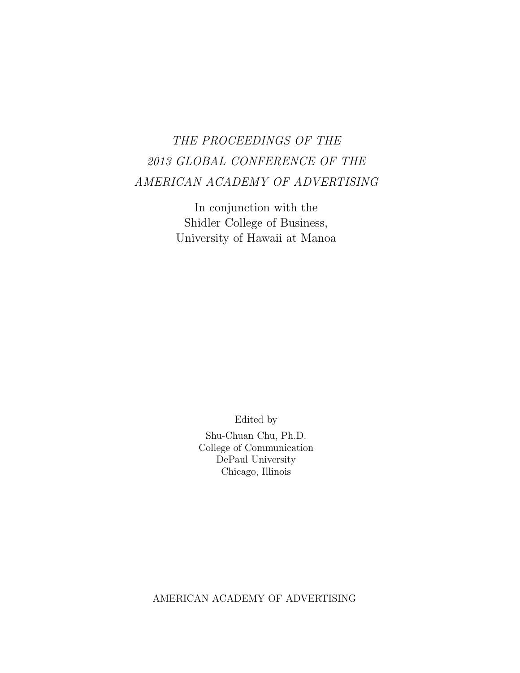# THE PROCEEDINGS OF THE 2013 GLOBAL CONFERENCE OF THE AMERICAN ACADEMY OF ADVERTISING

In conjunction with the Shidler College of Business, University of Hawaii at Manoa

Edited by

Shu-Chuan Chu, Ph.D. College of Communication DePaul University Chicago, Illinois

AMERICAN ACADEMY OF ADVERTISING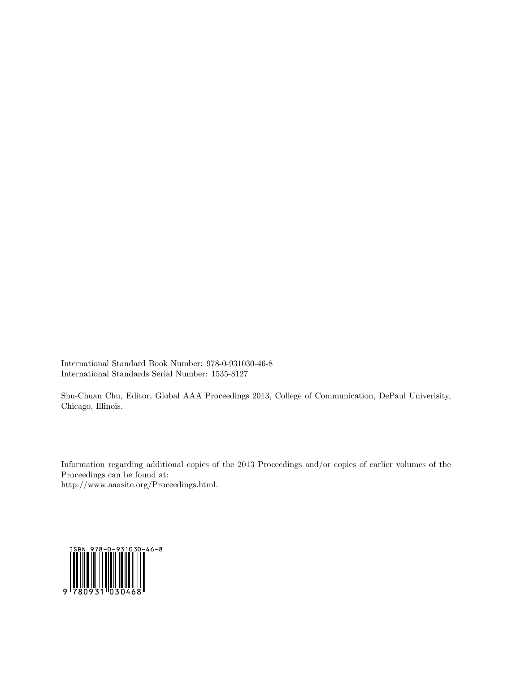International Standard Book Number: 978-0-931030-46-8 International Standards Serial Number: 1535-8127

Shu-Chuan Chu, Editor, Global AAA Proceedings 2013, College of Communication, DePaul Univerisity, Chicago, Illinois.

Information regarding additional copies of the 2013 Proceedings and/or copies of earlier volumes of the Proceedings can be found at: http://www.aaasite.org/Proceedings.html.

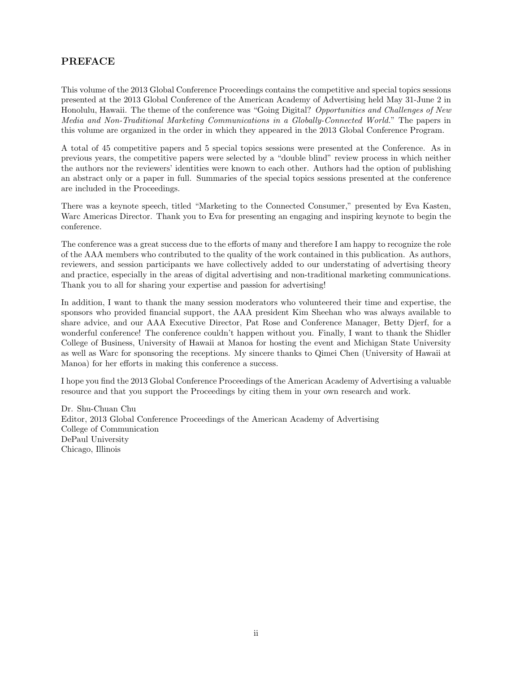## PREFACE

This volume of the 2013 Global Conference Proceedings contains the competitive and special topics sessions presented at the 2013 Global Conference of the American Academy of Advertising held May 31-June 2 in Honolulu, Hawaii. The theme of the conference was "Going Digital? Opportunities and Challenges of New Media and Non-Traditional Marketing Communications in a Globally-Connected World." The papers in this volume are organized in the order in which they appeared in the 2013 Global Conference Program.

A total of 45 competitive papers and 5 special topics sessions were presented at the Conference. As in previous years, the competitive papers were selected by a "double blind" review process in which neither the authors nor the reviewers' identities were known to each other. Authors had the option of publishing an abstract only or a paper in full. Summaries of the special topics sessions presented at the conference are included in the Proceedings.

There was a keynote speech, titled "Marketing to the Connected Consumer," presented by Eva Kasten, Warc Americas Director. Thank you to Eva for presenting an engaging and inspiring keynote to begin the conference.

The conference was a great success due to the efforts of many and therefore I am happy to recognize the role of the AAA members who contributed to the quality of the work contained in this publication. As authors, reviewers, and session participants we have collectively added to our understating of advertising theory and practice, especially in the areas of digital advertising and non-traditional marketing communications. Thank you to all for sharing your expertise and passion for advertising!

In addition, I want to thank the many session moderators who volunteered their time and expertise, the sponsors who provided financial support, the AAA president Kim Sheehan who was always available to share advice, and our AAA Executive Director, Pat Rose and Conference Manager, Betty Djerf, for a wonderful conference! The conference couldn't happen without you. Finally, I want to thank the Shidler College of Business, University of Hawaii at Manoa for hosting the event and Michigan State University as well as Warc for sponsoring the receptions. My sincere thanks to Qimei Chen (University of Hawaii at Manoa) for her efforts in making this conference a success.

I hope you find the 2013 Global Conference Proceedings of the American Academy of Advertising a valuable resource and that you support the Proceedings by citing them in your own research and work.

Dr. Shu-Chuan Chu Editor, 2013 Global Conference Proceedings of the American Academy of Advertising College of Communication DePaul University Chicago, Illinois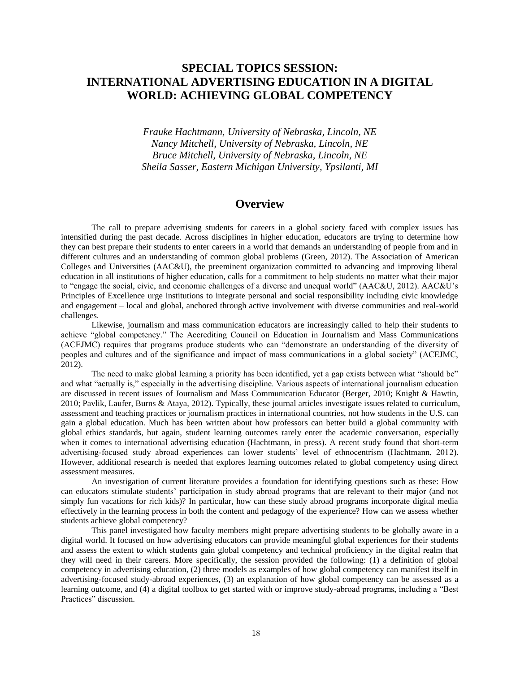## **SPECIAL TOPICS SESSION: INTERNATIONAL ADVERTISING EDUCATION IN A DIGITAL WORLD: ACHIEVING GLOBAL COMPETENCY**

*Frauke Hachtmann, University of Nebraska, Lincoln, NE Nancy Mitchell, University of Nebraska, Lincoln, NE Bruce Mitchell, University of Nebraska, Lincoln, NE Sheila Sasser, Eastern Michigan University, Ypsilanti, MI*

## **Overview**

The call to prepare advertising students for careers in a global society faced with complex issues has intensified during the past decade. Across disciplines in higher education, educators are trying to determine how they can best prepare their students to enter careers in a world that demands an understanding of people from and in different cultures and an understanding of common global problems (Green, 2012). The Association of American Colleges and Universities (AAC&U), the preeminent organization committed to advancing and improving liberal education in all institutions of higher education, calls for a commitment to help students no matter what their major to "engage the social, civic, and economic challenges of a diverse and unequal world" (AAC&U, 2012). AAC&U's Principles of Excellence urge institutions to integrate personal and social responsibility including civic knowledge and engagement – local and global, anchored through active involvement with diverse communities and real-world challenges.

Likewise, journalism and mass communication educators are increasingly called to help their students to achieve "global competency." The Accrediting Council on Education in Journalism and Mass Communications (ACEJMC) requires that programs produce students who can "demonstrate an understanding of the diversity of peoples and cultures and of the significance and impact of mass communications in a global society" (ACEJMC,  $2012$ ).

The need to make global learning a priority has been identified, yet a gap exists between what "should be" and what "actually is," especially in the advertising discipline. Various aspects of international journalism education are discussed in recent issues of Journalism and Mass Communication Educator (Berger, 2010; Knight & Hawtin, 2010; Pavlik, Laufer, Burns & Ataya, 2012). Typically, these journal articles investigate issues related to curriculum, assessment and teaching practices or journalism practices in international countries, not how students in the U.S. can gain a global education. Much has been written about how professors can better build a global community with global ethics standards, but again, student learning outcomes rarely enter the academic conversation, especially when it comes to international advertising education (Hachtmann, in press). A recent study found that short-term advertising-focused study abroad experiences can lower students' level of ethnocentrism (Hachtmann, 2012). However, additional research is needed that explores learning outcomes related to global competency using direct assessment measures.

An investigation of current literature provides a foundation for identifying questions such as these: How can educators stimulate students' participation in study abroad programs that are relevant to their major (and not simply fun vacations for rich kids)? In particular, how can these study abroad programs incorporate digital media effectively in the learning process in both the content and pedagogy of the experience? How can we assess whether students achieve global competency?

This panel investigated how faculty members might prepare advertising students to be globally aware in a digital world. It focused on how advertising educators can provide meaningful global experiences for their students and assess the extent to which students gain global competency and technical proficiency in the digital realm that they will need in their careers. More specifically, the session provided the following: (1) a definition of global competency in advertising education, (2) three models as examples of how global competency can manifest itself in advertising-focused study-abroad experiences, (3) an explanation of how global competency can be assessed as a learning outcome, and (4) a digital toolbox to get started with or improve study-abroad programs, including a "Best Practices" discussion.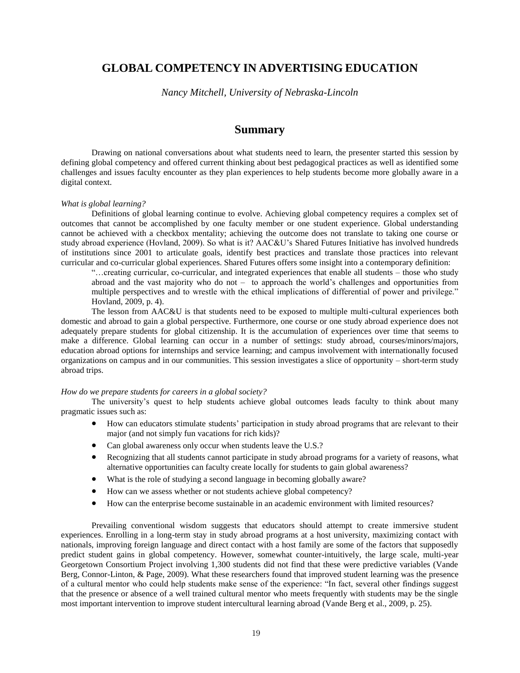## **GLOBAL COMPETENCY IN ADVERTISING EDUCATION**

*Nancy Mitchell, University of Nebraska-Lincoln*

## **Summary**

Drawing on national conversations about what students need to learn, the presenter started this session by defining global competency and offered current thinking about best pedagogical practices as well as identified some challenges and issues faculty encounter as they plan experiences to help students become more globally aware in a digital context.

#### *What is global learning?*

Definitions of global learning continue to evolve. Achieving global competency requires a complex set of outcomes that cannot be accomplished by one faculty member or one student experience. Global understanding cannot be achieved with a checkbox mentality; achieving the outcome does not translate to taking one course or study abroad experience (Hovland, 2009). So what is it? AAC&U's Shared Futures Initiative has involved hundreds of institutions since 2001 to articulate goals, identify best practices and translate those practices into relevant curricular and co-curricular global experiences. Shared Futures offers some insight into a contemporary definition:

"…creating curricular, co-curricular, and integrated experiences that enable all students – those who study abroad and the vast majority who do not – to approach the world's challenges and opportunities from multiple perspectives and to wrestle with the ethical implications of differential of power and privilege." Hovland, 2009, p. 4).

 The lesson from AAC&U is that students need to be exposed to multiple multi-cultural experiences both domestic and abroad to gain a global perspective. Furthermore, one course or one study abroad experience does not adequately prepare students for global citizenship. It is the accumulation of experiences over time that seems to make a difference. Global learning can occur in a number of settings: study abroad, courses/minors/majors, education abroad options for internships and service learning; and campus involvement with internationally focused organizations on campus and in our communities. This session investigates a slice of opportunity – short-term study abroad trips.

#### *How do we prepare students for careers in a global society?*

 The university's quest to help students achieve global outcomes leads faculty to think about many pragmatic issues such as:

- How can educators stimulate students' participation in study abroad programs that are relevant to their major (and not simply fun vacations for rich kids)?
- Can global awareness only occur when students leave the U.S.?
- Recognizing that all students cannot participate in study abroad programs for a variety of reasons, what alternative opportunities can faculty create locally for students to gain global awareness?
- What is the role of studying a second language in becoming globally aware?
- How can we assess whether or not students achieve global competency?
- How can the enterprise become sustainable in an academic environment with limited resources?

 Prevailing conventional wisdom suggests that educators should attempt to create immersive student experiences. Enrolling in a long-term stay in study abroad programs at a host university, maximizing contact with nationals, improving foreign language and direct contact with a host family are some of the factors that supposedly predict student gains in global competency. However, somewhat counter-intuitively, the large scale, multi-year Georgetown Consortium Project involving 1,300 students did not find that these were predictive variables (Vande Berg, Connor-Linton, & Page, 2009). What these researchers found that improved student learning was the presence of a cultural mentor who could help students make sense of the experience: "In fact, several other findings suggest that the presence or absence of a well trained cultural mentor who meets frequently with students may be the single most important intervention to improve student intercultural learning abroad (Vande Berg et al., 2009, p. 25).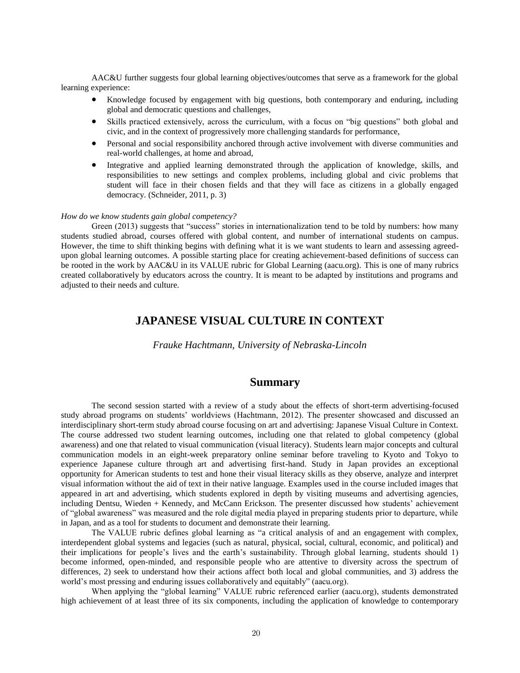AAC&U further suggests four global learning objectives/outcomes that serve as a framework for the global learning experience:

- Knowledge focused by engagement with big questions, both contemporary and enduring, including global and democratic questions and challenges,
- Skills practiced extensively, across the curriculum, with a focus on "big questions" both global and civic, and in the context of progressively more challenging standards for performance,
- Personal and social responsibility anchored through active involvement with diverse communities and real-world challenges, at home and abroad,
- Integrative and applied learning demonstrated through the application of knowledge, skills, and responsibilities to new settings and complex problems, including global and civic problems that student will face in their chosen fields and that they will face as citizens in a globally engaged democracy. (Schneider, 2011, p. 3)

#### *How do we know students gain global competency?*

Green (2013) suggests that "success" stories in internationalization tend to be told by numbers: how many students studied abroad, courses offered with global content, and number of international students on campus. However, the time to shift thinking begins with defining what it is we want students to learn and assessing agreedupon global learning outcomes. A possible starting place for creating achievement-based definitions of success can be rooted in the work by AAC&U in its VALUE rubric for Global Learning (aacu.org). This is one of many rubrics created collaboratively by educators across the country. It is meant to be adapted by institutions and programs and adjusted to their needs and culture.

## **JAPANESE VISUAL CULTURE IN CONTEXT**

*Frauke Hachtmann, University of Nebraska-Lincoln*

## **Summary**

The second session started with a review of a study about the effects of short-term advertising-focused study abroad programs on students' worldviews (Hachtmann, 2012). The presenter showcased and discussed an interdisciplinary short-term study abroad course focusing on art and advertising: Japanese Visual Culture in Context. The course addressed two student learning outcomes, including one that related to global competency (global awareness) and one that related to visual communication (visual literacy). Students learn major concepts and cultural communication models in an eight-week preparatory online seminar before traveling to Kyoto and Tokyo to experience Japanese culture through art and advertising first-hand. Study in Japan provides an exceptional opportunity for American students to test and hone their visual literacy skills as they observe, analyze and interpret visual information without the aid of text in their native language. Examples used in the course included images that appeared in art and advertising, which students explored in depth by visiting museums and advertising agencies, including Dentsu, Wieden + Kennedy, and McCann Erickson. The presenter discussed how students' achievement of "global awareness" was measured and the role digital media played in preparing students prior to departure, while in Japan, and as a tool for students to document and demonstrate their learning.

The VALUE rubric defines global learning as "a critical analysis of and an engagement with complex, interdependent global systems and legacies (such as natural, physical, social, cultural, economic, and political) and their implications for people's lives and the earth's sustainability. Through global learning, students should 1) become informed, open-minded, and responsible people who are attentive to diversity across the spectrum of differences, 2) seek to understand how their actions affect both local and global communities, and 3) address the world's most pressing and enduring issues collaboratively and equitably" (aacu.org).

When applying the "global learning" VALUE rubric referenced earlier (aacu.org), students demonstrated high achievement of at least three of its six components, including the application of knowledge to contemporary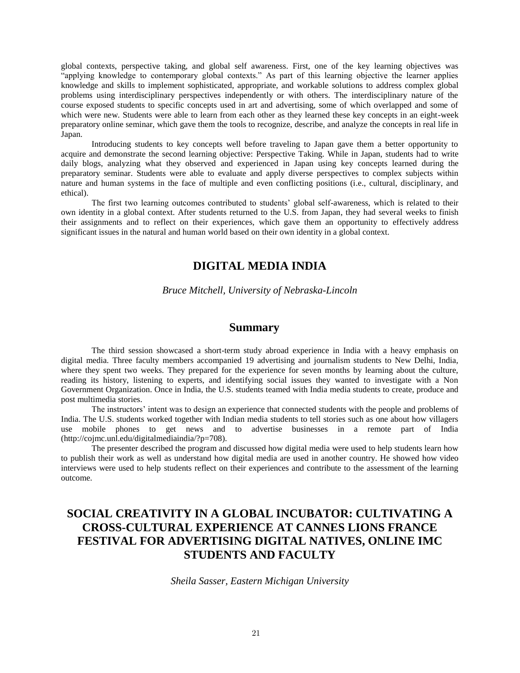global contexts, perspective taking, and global self awareness. First, one of the key learning objectives was "applying knowledge to contemporary global contexts." As part of this learning objective the learner applies knowledge and skills to implement sophisticated, appropriate, and workable solutions to address complex global problems using interdisciplinary perspectives independently or with others. The interdisciplinary nature of the course exposed students to specific concepts used in art and advertising, some of which overlapped and some of which were new. Students were able to learn from each other as they learned these key concepts in an eight-week preparatory online seminar, which gave them the tools to recognize, describe, and analyze the concepts in real life in Japan.

Introducing students to key concepts well before traveling to Japan gave them a better opportunity to acquire and demonstrate the second learning objective: Perspective Taking. While in Japan, students had to write daily blogs, analyzing what they observed and experienced in Japan using key concepts learned during the preparatory seminar. Students were able to evaluate and apply diverse perspectives to complex subjects within nature and human systems in the face of multiple and even conflicting positions (i.e., cultural, disciplinary, and ethical).

The first two learning outcomes contributed to students' global self-awareness, which is related to their own identity in a global context. After students returned to the U.S. from Japan, they had several weeks to finish their assignments and to reflect on their experiences, which gave them an opportunity to effectively address significant issues in the natural and human world based on their own identity in a global context.

## **DIGITAL MEDIA INDIA**

*Bruce Mitchell, University of Nebraska-Lincoln*

### **Summary**

The third session showcased a short-term study abroad experience in India with a heavy emphasis on digital media. Three faculty members accompanied 19 advertising and journalism students to New Delhi, India, where they spent two weeks. They prepared for the experience for seven months by learning about the culture, reading its history, listening to experts, and identifying social issues they wanted to investigate with a Non Government Organization. Once in India, the U.S. students teamed with India media students to create, produce and post multimedia stories.

The instructors' intent was to design an experience that connected students with the people and problems of India. The U.S. students worked together with Indian media students to tell stories such as one about how villagers use mobile phones to get news and to advertise businesses in a remote part of India (http://cojmc.unl.edu/digitalmediaindia/?p=708).

The presenter described the program and discussed how digital media were used to help students learn how to publish their work as well as understand how digital media are used in another country. He showed how video interviews were used to help students reflect on their experiences and contribute to the assessment of the learning outcome.

## **SOCIAL CREATIVITY IN A GLOBAL INCUBATOR: CULTIVATING A CROSS-CULTURAL EXPERIENCE AT CANNES LIONS FRANCE FESTIVAL FOR ADVERTISING DIGITAL NATIVES, ONLINE IMC STUDENTS AND FACULTY**

*Sheila Sasser, Eastern Michigan University*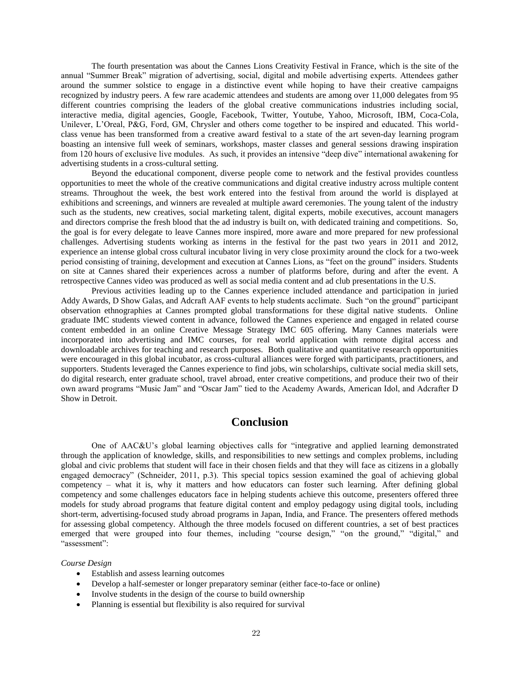The fourth presentation was about the Cannes Lions Creativity Festival in France, which is the site of the annual "Summer Break" migration of advertising, social, digital and mobile advertising experts. Attendees gather around the summer solstice to engage in a distinctive event while hoping to have their creative campaigns recognized by industry peers. A few rare academic attendees and students are among over 11,000 delegates from 95 different countries comprising the leaders of the global creative communications industries including social, interactive media, digital agencies, Google, Facebook, Twitter, Youtube, Yahoo, Microsoft, IBM, Coca-Cola, Unilever, L'Oreal, P&G, Ford, GM, Chrysler and others come together to be inspired and educated. This worldclass venue has been transformed from a creative award festival to a state of the art seven-day learning program boasting an intensive full week of seminars, workshops, master classes and general sessions drawing inspiration from 120 hours of exclusive live modules. As such, it provides an intensive "deep dive" international awakening for advertising students in a cross-cultural setting.

Beyond the educational component, diverse people come to network and the festival provides countless opportunities to meet the whole of the creative communications and digital creative industry across multiple content streams. Throughout the week, the best work entered into the festival from around the world is displayed at exhibitions and screenings, and winners are revealed at multiple award ceremonies. The young talent of the industry such as the students, new creatives, social marketing talent, digital experts, mobile executives, account managers and directors comprise the fresh blood that the ad industry is built on, with dedicated training and competitions. So, the goal is for every delegate to leave Cannes more inspired, more aware and more prepared for new professional challenges. Advertising students working as interns in the festival for the past two years in 2011 and 2012, experience an intense global cross cultural incubator living in very close proximity around the clock for a two-week period consisting of training, development and execution at Cannes Lions, as "feet on the ground" insiders. Students on site at Cannes shared their experiences across a number of platforms before, during and after the event. A retrospective Cannes video was produced as well as social media content and ad club presentations in the U.S.

Previous activities leading up to the Cannes experience included attendance and participation in juried Addy Awards, D Show Galas, and Adcraft AAF events to help students acclimate. Such "on the ground" participant observation ethnographies at Cannes prompted global transformations for these digital native students. Online graduate IMC students viewed content in advance, followed the Cannes experience and engaged in related course content embedded in an online Creative Message Strategy IMC 605 offering. Many Cannes materials were incorporated into advertising and IMC courses, for real world application with remote digital access and downloadable archives for teaching and research purposes. Both qualitative and quantitative research opportunities were encouraged in this global incubator, as cross-cultural alliances were forged with participants, practitioners, and supporters. Students leveraged the Cannes experience to find jobs, win scholarships, cultivate social media skill sets, do digital research, enter graduate school, travel abroad, enter creative competitions, and produce their two of their own award programs "Music Jam" and "Oscar Jam" tied to the Academy Awards, American Idol, and Adcrafter D Show in Detroit.

## **Conclusion**

One of AAC&U's global learning objectives calls for "integrative and applied learning demonstrated through the application of knowledge, skills, and responsibilities to new settings and complex problems, including global and civic problems that student will face in their chosen fields and that they will face as citizens in a globally engaged democracy" (Schneider, 2011, p.3). This special topics session examined the goal of achieving global competency – what it is, why it matters and how educators can foster such learning. After defining global competency and some challenges educators face in helping students achieve this outcome, presenters offered three models for study abroad programs that feature digital content and employ pedagogy using digital tools, including short-term, advertising-focused study abroad programs in Japan, India, and France. The presenters offered methods for assessing global competency. Although the three models focused on different countries, a set of best practices emerged that were grouped into four themes, including "course design," "on the ground," "digital," and "assessment":

#### *Course Design*

- Establish and assess learning outcomes
- Develop a half-semester or longer preparatory seminar (either face-to-face or online)
- Involve students in the design of the course to build ownership
- Planning is essential but flexibility is also required for survival